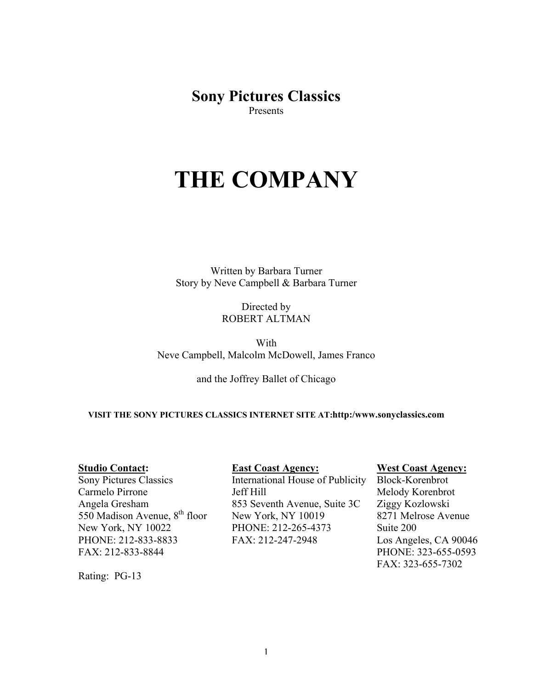**Sony Pictures Classics** Presents

# **THE COMPANY**

Written by Barbara Turner Story by Neve Campbell & Barbara Turner

> Directed by ROBERT ALTMAN

With Neve Campbell, Malcolm McDowell, James Franco

and the Joffrey Ballet of Chicago

**VISIT THE SONY PICTURES CLASSICS INTERNET SITE AT:http:/www.sonyclassics.com**

#### **Studio Contact:**

Sony Pictures Classics Carmelo Pirrone Angela Gresham 550 Madison Avenue, 8<sup>th</sup> floor New York, NY 10022 PHONE: 212-833-8833 FAX: 212-833-8844

Rating: PG-13

# **East Coast Agency:**

International House of Publicity Jeff Hill 853 Seventh Avenue, Suite 3C New York, NY 10019 PHONE: 212-265-4373 FAX: 212-247-2948

#### **West Coast Agency:**

Block-Korenbrot Melody Korenbrot Ziggy Kozlowski 8271 Melrose Avenue Suite 200 Los Angeles, CA 90046 PHONE: 323-655-0593 FAX: 323-655-7302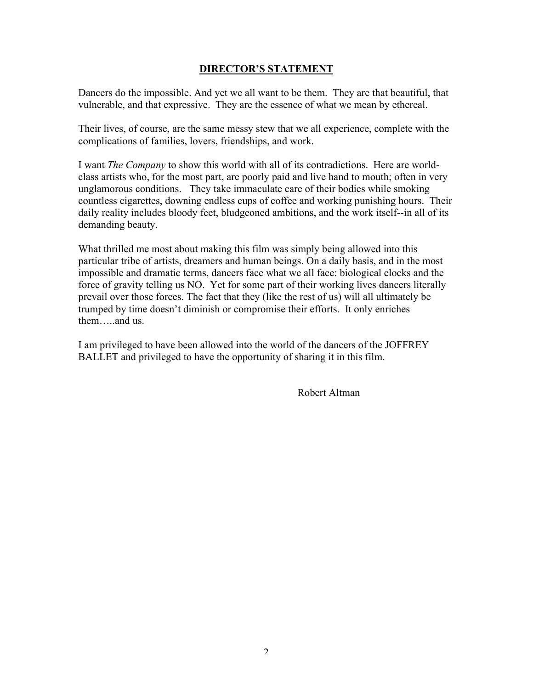# **DIRECTOR'S STATEMENT**

Dancers do the impossible. And yet we all want to be them. They are that beautiful, that vulnerable, and that expressive. They are the essence of what we mean by ethereal.

Their lives, of course, are the same messy stew that we all experience, complete with the complications of families, lovers, friendships, and work.

I want *The Company* to show this world with all of its contradictions. Here are worldclass artists who, for the most part, are poorly paid and live hand to mouth; often in very unglamorous conditions. They take immaculate care of their bodies while smoking countless cigarettes, downing endless cups of coffee and working punishing hours. Their daily reality includes bloody feet, bludgeoned ambitions, and the work itself--in all of its demanding beauty.

What thrilled me most about making this film was simply being allowed into this particular tribe of artists, dreamers and human beings. On a daily basis, and in the most impossible and dramatic terms, dancers face what we all face: biological clocks and the force of gravity telling us NO. Yet for some part of their working lives dancers literally prevail over those forces. The fact that they (like the rest of us) will all ultimately be trumped by time doesn't diminish or compromise their efforts. It only enriches them…..and us.

I am privileged to have been allowed into the world of the dancers of the JOFFREY BALLET and privileged to have the opportunity of sharing it in this film.

Robert Altman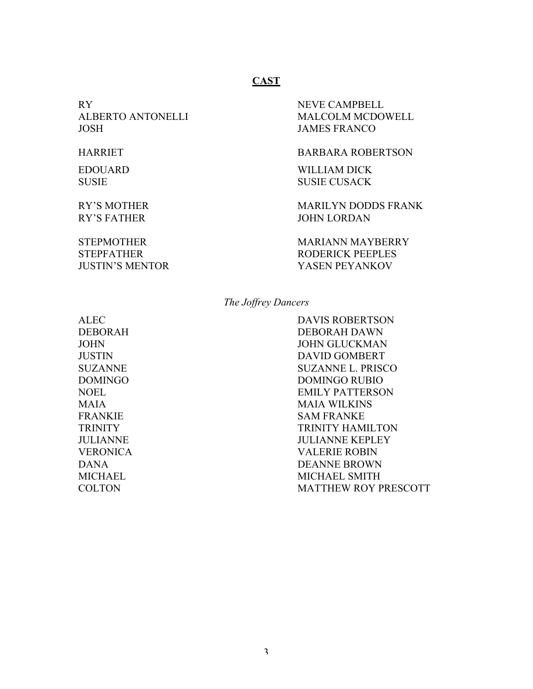# **CAST**

RY NEVE CAMPBELL JOSH JAMES FRANCO

ALBERTO ANTONELLI MALCOLM MCDOWELL

#### HARRIET BARBARA ROBERTSON

EDOUARD WILLIAM DICK SUSIE SUSIE CUSACK

RY'S MOTHER MARILYN DODDS FRANK RY'S FATHER JOHN LORDAN

STEPMOTHER MARIANN MAYBERRY STEPFATHER RODERICK PEEPLES JUSTIN'S MENTOR YASEN PEYANKOV

*The Joffrey Dancers*

ALEC DAVIS ROBERTSON DEBORAH DEBORAH DAWN JOHN JOHN GLUCKMAN JUSTIN DAVID GOMBERT SUZANNE SUZANNE L. PRISCO DOMINGO DOMINGO RUBIO NOEL EMILY PATTERSON MAIA MAIA WILKINS FRANKIE SAM FRANKE TRINITY HAMILTON JULIANNE JULIANNE KEPLEY VERONICA VALERIE ROBIN DANA DEANNE BROWN MICHAEL SMITH COLTON MATTHEW ROY PRESCOTT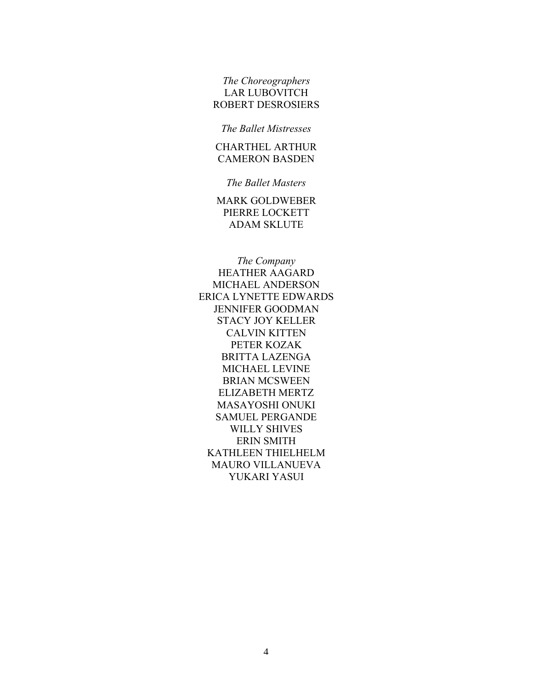*The Choreographers* LAR LUBOVITCH ROBERT DESROSIERS

*The Ballet Mistresses*

CHARTHEL ARTHUR CAMERON BASDEN

*The Ballet Masters*

MARK GOLDWEBER PIERRE LOCKETT ADAM SKLUTE

*The Company* HEATHER AAGARD MICHAEL ANDERSON ERICA LYNETTE EDWARDS JENNIFER GOODMAN STACY JOY KELLER CALVIN KITTEN PETER KOZAK BRITTA LAZENGA MICHAEL LEVINE BRIAN MCSWEEN ELIZABETH MERTZ MASAYOSHI ONUKI SAMUEL PERGANDE WILLY SHIVES ERIN SMITH KATHLEEN THIELHELM MAURO VILLANUEVA YUKARI YASUI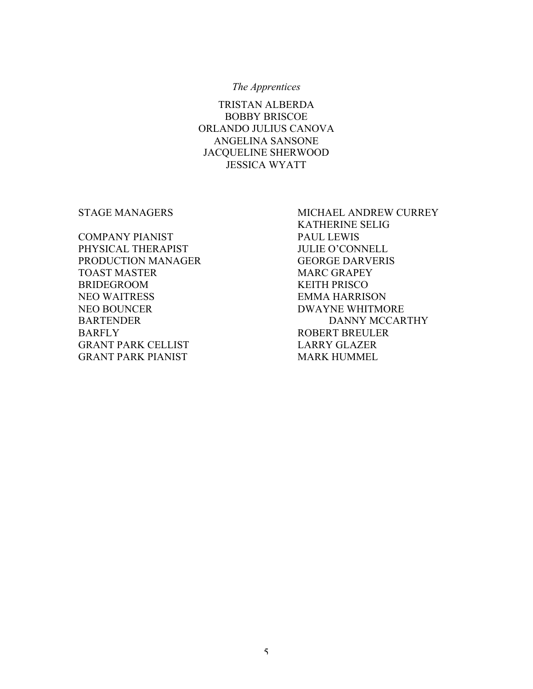#### *The Apprentices*

TRISTAN ALBERDA BOBBY BRISCOE ORLANDO JULIUS CANOVA ANGELINA SANSONE JACQUELINE SHERWOOD JESSICA WYATT

COMPANY PIANIST PAUL LEWIS PHYSICAL THERAPIST JULIE O'CONNELL PRODUCTION MANAGER GEORGE DARVERIS TOAST MASTER MARC GRAPEY BRIDEGROOM KEITH PRISCO NEO WAITRESS EMMA HARRISON NEO BOUNCER DWAYNE WHITMORE BARFLY ROBERT BREULER GRANT PARK CELLIST LARRY GLAZER GRANT PARK PIANIST MARK HUMMEL

STAGE MANAGERS MICHAEL ANDREW CURREY KATHERINE SELIG BARTENDER DANNY MCCARTHY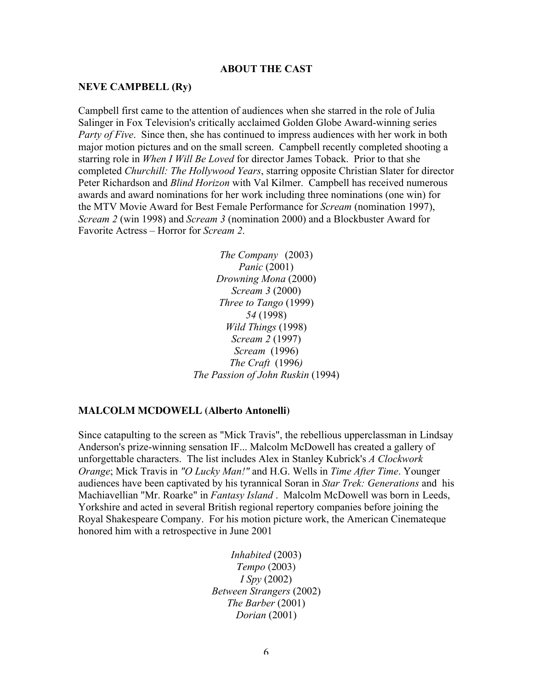#### **ABOUT THE CAST**

#### **NEVE CAMPBELL (Ry)**

Campbell first came to the attention of audiences when she starred in the role of Julia Salinger in Fox Television's critically acclaimed Golden Globe Award-winning series *Party of Five*. Since then, she has continued to impress audiences with her work in both major motion pictures and on the small screen. Campbell recently completed shooting a starring role in *When I Will Be Loved* for director James Toback. Prior to that she completed *Churchill: The Hollywood Years*, starring opposite Christian Slater for director Peter Richardson and *Blind Horizon* with Val Kilmer. Campbell has received numerous awards and award nominations for her work including three nominations (one win) for the MTV Movie Award for Best Female Performance for *Scream* (nomination 1997), *Scream 2* (win 1998) and *Scream 3* (nomination 2000) and a Blockbuster Award for Favorite Actress – Horror for *Scream 2*.

> *The Company* (2003) *Panic* (2001) *Drowning Mona* (2000) *Scream 3* (2000) *Three to Tango* (1999) *54* (1998) *Wild Things* (1998) *Scream 2* (1997) *Scream* (1996) *The Craft* (1996*) The Passion of John Ruskin* (1994)

# **MALCOLM MCDOWELL (Alberto Antonelli)**

Since catapulting to the screen as "Mick Travis", the rebellious upperclassman in Lindsay Anderson's prize-winning sensation IF... Malcolm McDowell has created a gallery of unforgettable characters. The list includes Alex in Stanley Kubrick's *A Clockwork Orange*; Mick Travis in *"O Lucky Man!"* and H.G. Wells in *Time After Time*. Younger audiences have been captivated by his tyrannical Soran in *Star Trek: Generations* and his Machiavellian "Mr. Roarke" in *Fantasy Island* . Malcolm McDowell was born in Leeds, Yorkshire and acted in several British regional repertory companies before joining the Royal Shakespeare Company. For his motion picture work, the American Cinemateque honored him with a retrospective in June 2001

> *Inhabited* (2003) *Tempo* (2003) *I Spy* (2002) *Between Strangers* (2002) *The Barber* (2001) *Dorian* (2001)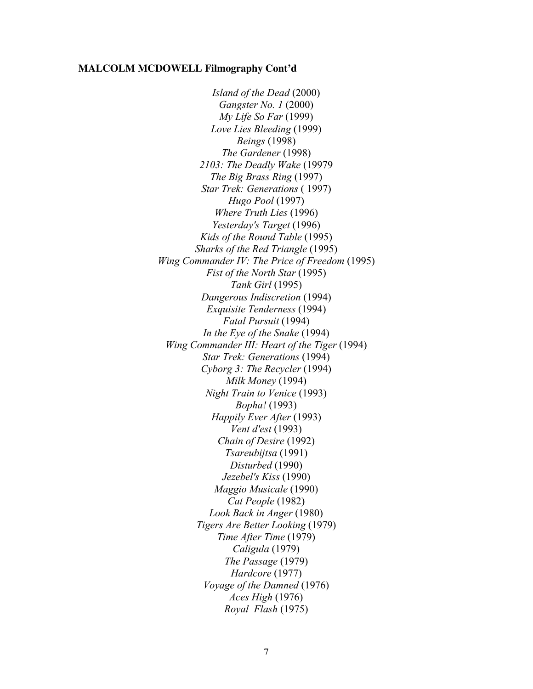#### **MALCOLM MCDOWELL Filmography Cont'd**

*Island of the Dead* (2000) *Gangster No. 1* (2000) *My Life So Far* (1999) *Love Lies Bleeding* (1999) *Beings* (1998) *The Gardener* (1998) *2103: The Deadly Wake* (19979 *The Big Brass Ring* (1997) *Star Trek: Generations* ( 1997) *Hugo Pool* (1997) *Where Truth Lies* (1996) *Yesterday's Target* (1996) *Kids of the Round Table* (1995) *Sharks of the Red Triangle* (1995) *Wing Commander IV: The Price of Freedom* (1995) *Fist of the North Star* (1995) *Tank Girl* (1995) *Dangerous Indiscretion* (1994) *Exquisite Tenderness* (1994) *Fatal Pursuit* (1994) *In the Eye of the Snake* (1994) *Wing Commander III: Heart of the Tiger* (1994) *Star Trek: Generations* (1994) *Cyborg 3: The Recycler* (1994) *Milk Money* (1994) *Night Train to Venice* (1993) *Bopha!* (1993) *Happily Ever After* (1993) *Vent d'est* (1993) *Chain of Desire* (1992) *Tsareubijtsa* (1991) *Disturbed* (1990) *Jezebel's Kiss* (1990) *Maggio Musicale* (1990) *Cat People* (1982) *Look Back in Anger* (1980) *Tigers Are Better Looking* (1979) *Time After Time* (1979) *Caligula* (1979) *The Passage* (1979) *Hardcore* (1977) *Voyage of the Damned* (1976) *Aces High* (1976) *Royal Flash* (1975)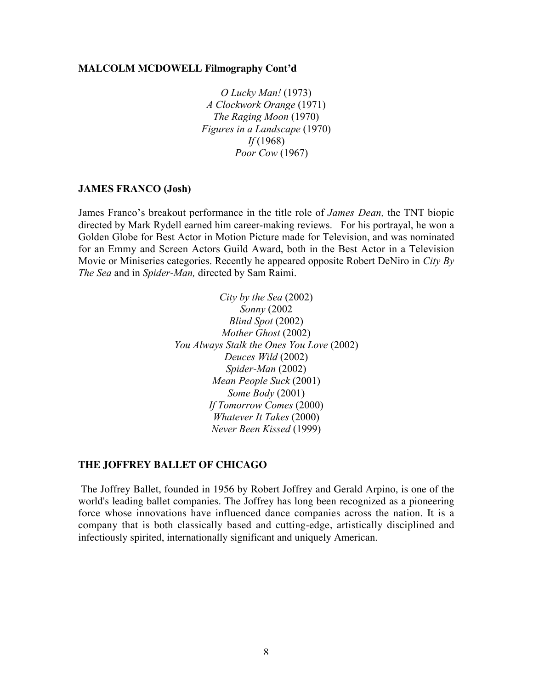#### **MALCOLM MCDOWELL Filmography Cont'd**

*O Lucky Man!* (1973) *A Clockwork Orange* (1971) *The Raging Moon* (1970) *Figures in a Landscape* (1970) *If* (1968) *Poor Cow* (1967)

#### **JAMES FRANCO (Josh)**

James Franco's breakout performance in the title role of *James Dean,* the TNT biopic directed by Mark Rydell earned him career-making reviews. For his portrayal, he won a Golden Globe for Best Actor in Motion Picture made for Television, and was nominated for an Emmy and Screen Actors Guild Award, both in the Best Actor in a Television Movie or Miniseries categories. Recently he appeared opposite Robert DeNiro in *City By The Sea* and in *Spider-Man,* directed by Sam Raimi.

> *City by the Sea* (2002) *Sonny* (2002 *Blind Spot* (2002) *Mother Ghost* (2002) *You Always Stalk the Ones You Love* (2002) *Deuces Wild* (2002) *Spider-Man* (2002) *Mean People Suck* (2001) *Some Body* (2001) *If Tomorrow Comes* (2000) *Whatever It Takes* (2000) *Never Been Kissed* (1999)

#### **THE JOFFREY BALLET OF CHICAGO**

The Joffrey Ballet, founded in 1956 by Robert Joffrey and Gerald Arpino, is one of the world's leading ballet companies. The Joffrey has long been recognized as a pioneering force whose innovations have influenced dance companies across the nation. It is a company that is both classically based and cutting-edge, artistically disciplined and infectiously spirited, internationally significant and uniquely American.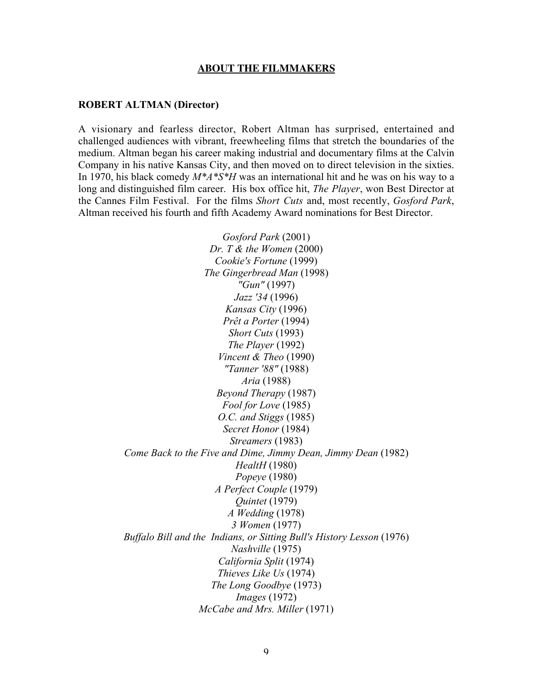#### **ABOUT THE FILMMAKERS**

#### **ROBERT ALTMAN (Director)**

A visionary and fearless director, Robert Altman has surprised, entertained and challenged audiences with vibrant, freewheeling films that stretch the boundaries of the medium. Altman began his career making industrial and documentary films at the Calvin Company in his native Kansas City, and then moved on to direct television in the sixties. In 1970, his black comedy *M\*A\*S\*H* was an international hit and he was on his way to a long and distinguished film career. His box office hit, *The Player*, won Best Director at the Cannes Film Festival. For the films *Short Cuts* and, most recently, *Gosford Park*, Altman received his fourth and fifth Academy Award nominations for Best Director.

> *Gosford Park* (2001) *Dr. T & the Women* (2000) *Cookie's Fortune* (1999) *The Gingerbread Man* (1998) *"Gun"* (1997) *Jazz '34* (1996) *Kansas City* (1996) *Prêt a Porter* (1994) *Short Cuts* (1993) *The Player* (1992) *Vincent & Theo* (1990) *"Tanner '88"* (1988) *Aria* (1988) *Beyond Therapy* (1987) *Fool for Love* (1985) *O.C. and Stiggs* (1985) *Secret Honor* (1984) *Streamers* (1983) *Come Back to the Five and Dime, Jimmy Dean, Jimmy Dean* (1982) *HealtH* (1980) *Popeye* (1980) *A Perfect Couple* (1979) *Quintet* (1979) *A Wedding* (1978) *3 Women* (1977) *Buffalo Bill and the Indians, or Sitting Bull's History Lesson* (1976) *Nashville* (1975) *California Split* (1974) *Thieves Like Us* (1974) *The Long Goodbye* (1973) *Images* (1972) *McCabe and Mrs. Miller* (1971)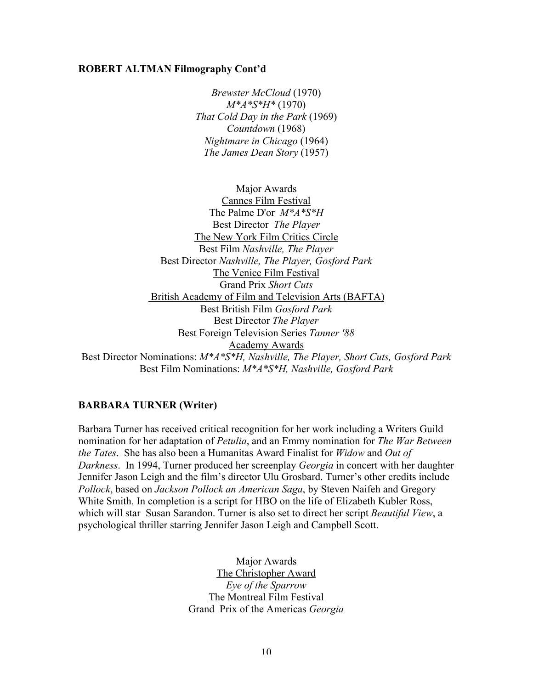#### **ROBERT ALTMAN Filmography Cont'd**

*Brewster McCloud* (1970) *M\*A\*S\*H\** (1970) *That Cold Day in the Park* (1969) *Countdown* (1968) *Nightmare in Chicago* (1964) *The James Dean Story* (1957)

Major Awards Cannes Film Festival The Palme D'or *M\*A\*S\*H* Best Director *The Player* The New York Film Critics Circle Best Film *Nashville, The Player* Best Director *Nashville, The Player, Gosford Park* The Venice Film Festival Grand Prix *Short Cuts* British Academy of Film and Television Arts (BAFTA) Best British Film *Gosford Park* Best Director *The Player* Best Foreign Television Series *Tanner '88* Academy Awards Best Director Nominations: *M\*A\*S\*H, Nashville, The Player, Short Cuts, Gosford Park* Best Film Nominations: *M\*A\*S\*H, Nashville, Gosford Park*

# **BARBARA TURNER (Writer)**

Barbara Turner has received critical recognition for her work including a Writers Guild nomination for her adaptation of *Petulia*, and an Emmy nomination for *The War Between the Tates*. She has also been a Humanitas Award Finalist for *Widow* and *Out of Darkness*. In 1994, Turner produced her screenplay *Georgia* in concert with her daughter Jennifer Jason Leigh and the film's director Ulu Grosbard. Turner's other credits include *Pollock*, based on *Jackson Pollock an American Saga*, by Steven Naifeh and Gregory White Smith. In completion is a script for HBO on the life of Elizabeth Kubler Ross, which will star Susan Sarandon. Turner is also set to direct her script *Beautiful View*, a psychological thriller starring Jennifer Jason Leigh and Campbell Scott.

> Major Awards The Christopher Award *Eye of the Sparrow* The Montreal Film Festival Grand Prix of the Americas *Georgia*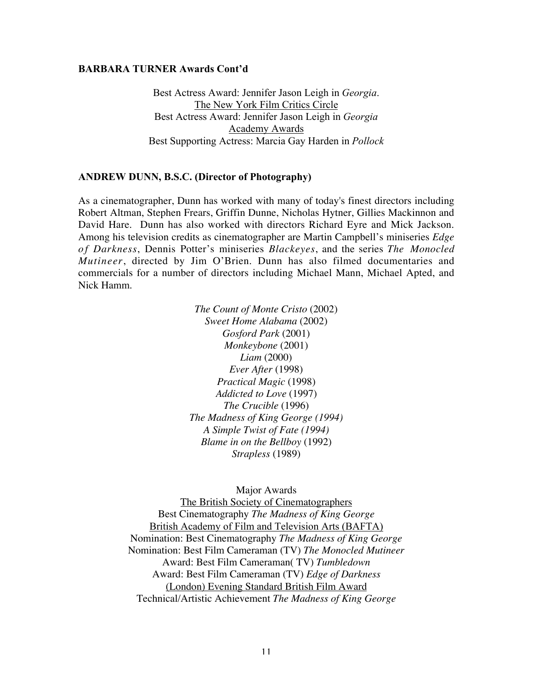#### **BARBARA TURNER Awards Cont'd**

Best Actress Award: Jennifer Jason Leigh in *Georgia*. The New York Film Critics Circle Best Actress Award: Jennifer Jason Leigh in *Georgia* Academy Awards Best Supporting Actress: Marcia Gay Harden in *Pollock*

#### **ANDREW DUNN, B.S.C. (Director of Photography)**

As a cinematographer, Dunn has worked with many of today's finest directors including Robert Altman, Stephen Frears, Griffin Dunne, Nicholas Hytner, Gillies Mackinnon and David Hare. Dunn has also worked with directors Richard Eyre and Mick Jackson. Among his television credits as cinematographer are Martin Campbell's miniseries *Edge o f Darkness*, Dennis Potter's miniseries *Blackeyes*, and the series *The Monocled Mutineer*, directed by Jim O'Brien. Dunn has also filmed documentaries and commercials for a number of directors including Michael Mann, Michael Apted, and Nick Hamm.

> *The Count of Monte Cristo* (2002) *Sweet Home Alabama* (2002) *Gosford Park* (2001) *Monkeybone* (2001) *Liam* (2000) *Ever After* (1998) *Practical Magic* (1998) *Addicted to Love* (1997) *The Crucible* (1996) *The Madness of King George (1994) A Simple Twist of Fate (1994) Blame in on the Bellboy* (1992) *Strapless* (1989)

> > Major Awards

The British Society of Cinematographers Best Cinematography *The Madness of King George* British Academy of Film and Television Arts (BAFTA) Nomination: Best Cinematography *The Madness of King George* Nomination: Best Film Cameraman (TV) *The Monocled Mutineer* Award: Best Film Cameraman( TV) *Tumbledown* Award: Best Film Cameraman (TV) *Edge of Darkness* (London) Evening Standard British Film Award Technical/Artistic Achievement *The Madness of King George*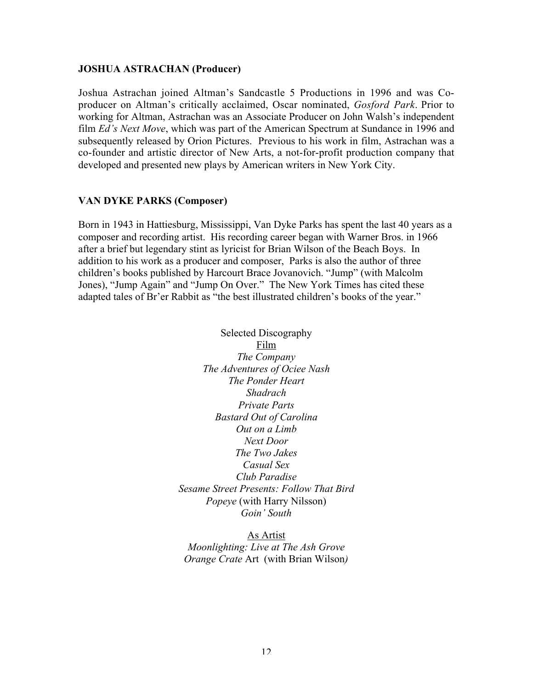# **JOSHUA ASTRACHAN (Producer)**

Joshua Astrachan joined Altman's Sandcastle 5 Productions in 1996 and was Coproducer on Altman's critically acclaimed, Oscar nominated, *Gosford Park*. Prior to working for Altman, Astrachan was an Associate Producer on John Walsh's independent film *Ed's Next Move*, which was part of the American Spectrum at Sundance in 1996 and subsequently released by Orion Pictures. Previous to his work in film, Astrachan was a co-founder and artistic director of New Arts, a not-for-profit production company that developed and presented new plays by American writers in New York City.

# **VAN DYKE PARKS (Composer)**

Born in 1943 in Hattiesburg, Mississippi, Van Dyke Parks has spent the last 40 years as a composer and recording artist. His recording career began with Warner Bros. in 1966 after a brief but legendary stint as lyricist for Brian Wilson of the Beach Boys. In addition to his work as a producer and composer, Parks is also the author of three children's books published by Harcourt Brace Jovanovich. "Jump" (with Malcolm Jones), "Jump Again" and "Jump On Over." The New York Times has cited these adapted tales of Br'er Rabbit as "the best illustrated children's books of the year."

> Selected Discography Film *The Company The Adventures of Ociee Nash The Ponder Heart Shadrach Private Parts Bastard Out of Carolina Out on a Limb Next Door The Two Jakes Casual Sex Club Paradise Sesame Street Presents: Follow That Bird Popeye* (with Harry Nilsson) *Goin' South*

As Artist *Moonlighting: Live at The Ash Grove Orange Crate* Art (with Brian Wilson*)*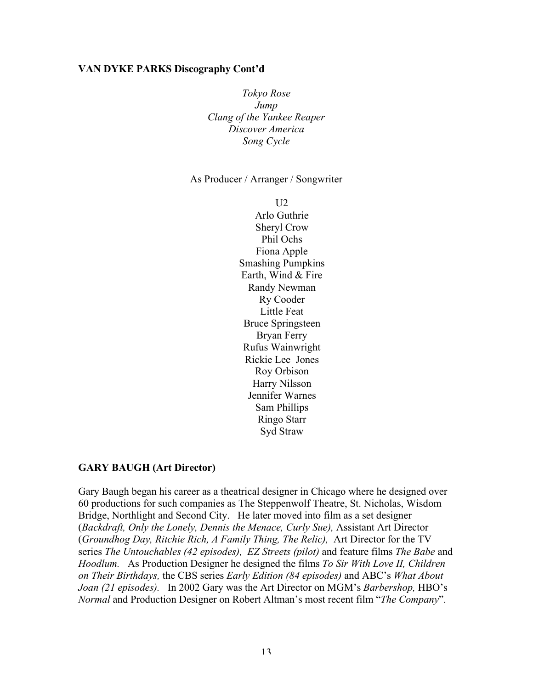# **VAN DYKE PARKS Discography Cont'd**

*Tokyo Rose Jump Clang of the Yankee Reaper Discover America Song Cycle*

#### As Producer / Arranger / Songwriter

 $U2$ Arlo Guthrie Sheryl Crow Phil Ochs Fiona Apple Smashing Pumpkins Earth, Wind & Fire Randy Newman Ry Cooder Little Feat Bruce Springsteen Bryan Ferry Rufus Wainwright Rickie Lee Jones Roy Orbison Harry Nilsson Jennifer Warnes Sam Phillips Ringo Starr Syd Straw

# **GARY BAUGH (Art Director)**

Gary Baugh began his career as a theatrical designer in Chicago where he designed over 60 productions for such companies as The Steppenwolf Theatre, St. Nicholas, Wisdom Bridge, Northlight and Second City. He later moved into film as a set designer (*Backdraft, Only the Lonely, Dennis the Menace, Curly Sue),* Assistant Art Director (*Groundhog Day, Ritchie Rich, A Family Thing, The Relic),* Art Director for the TV series *The Untouchables (42 episodes), EZ Streets (pilot)* and feature films *The Babe* and *Hoodlum.* As Production Designer he designed the films *To Sir With Love II, Children on Their Birthdays,* the CBS series *Early Edition (84 episodes)* and ABC's *What About Joan (21 episodes).* In 2002 Gary was the Art Director on MGM's *Barbershop,* HBO's *Normal* and Production Designer on Robert Altman's most recent film "*The Company*".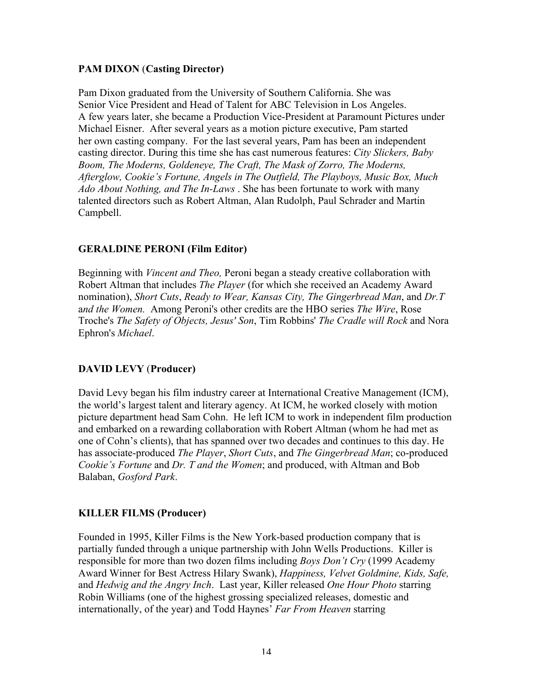# **PAM DIXON** (**Casting Director)**

Pam Dixon graduated from the University of Southern California. She was Senior Vice President and Head of Talent for ABC Television in Los Angeles. A few years later, she became a Production Vice-President at Paramount Pictures under Michael Eisner. After several years as a motion picture executive, Pam started her own casting company. For the last several years, Pam has been an independent casting director. During this time she has cast numerous features: *City Slickers, Baby Boom, The Moderns, Goldeneye, The Craft, The Mask of Zorro, The Moderns, Afterglow, Cookie's Fortune, Angels in The Outfield, The Playboys, Music Box, Much Ado About Nothing, and The In-Laws* . She has been fortunate to work with many talented directors such as Robert Altman, Alan Rudolph, Paul Schrader and Martin Campbell.

# **GERALDINE PERONI (Film Editor)**

Beginning with *Vincent and Theo,* Peroni began a steady creative collaboration with Robert Altman that includes *The Player* (for which she received an Academy Award nomination), *Short Cuts*, *R*e*ady to Wear, Kansas City, The Gingerbread Man*, and *Dr.T* a*nd the Women.* Among Peroni's other credits are the HBO series *The Wire*, Rose Troche's *The Safety of Objects, Jesus' Son*, Tim Robbins' *The Cradle will Rock* and Nora Ephron's *Michael*.

# **DAVID LEVY** (**Producer)**

David Levy began his film industry career at International Creative Management (ICM), the world's largest talent and literary agency. At ICM, he worked closely with motion picture department head Sam Cohn. He left ICM to work in independent film production and embarked on a rewarding collaboration with Robert Altman (whom he had met as one of Cohn's clients), that has spanned over two decades and continues to this day. He has associate-produced *The Player*, *Short Cuts*, and *The Gingerbread Man*; co-produced *Cookie's Fortune* and *Dr. T and the Women*; and produced, with Altman and Bob Balaban, *Gosford Park*.

# **KILLER FILMS (Producer)**

Founded in 1995, Killer Films is the New York-based production company that is partially funded through a unique partnership with John Wells Productions. Killer is responsible for more than two dozen films including *Boys Don't Cry* (1999 Academy Award Winner for Best Actress Hilary Swank), *Happiness, Velvet Goldmine, Kids, Safe,* and *Hedwig and the Angry Inch*. Last year, Killer released *One Hour Photo* starring Robin Williams (one of the highest grossing specialized releases, domestic and internationally, of the year) and Todd Haynes' *Far From Heaven* starring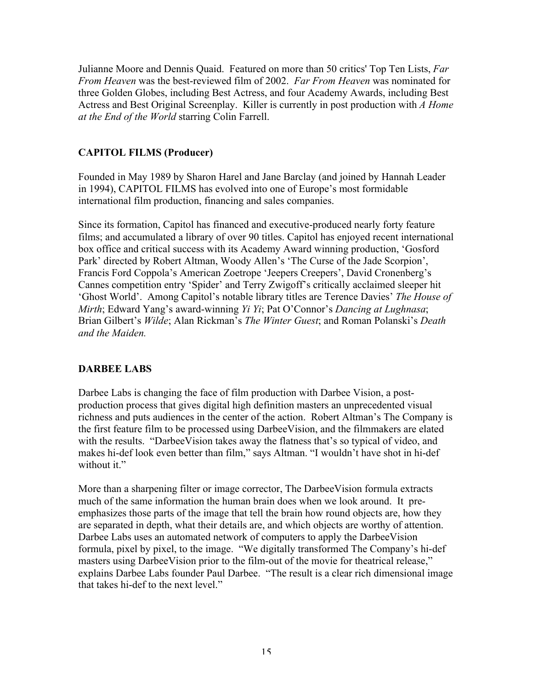Julianne Moore and Dennis Quaid. Featured on more than 50 critics' Top Ten Lists, *Far From Heaven* was the best-reviewed film of 2002. *Far From Heaven* was nominated for three Golden Globes, including Best Actress, and four Academy Awards, including Best Actress and Best Original Screenplay. Killer is currently in post production with *A Home at the End of the World* starring Colin Farrell.

# **CAPITOL FILMS (Producer)**

Founded in May 1989 by Sharon Harel and Jane Barclay (and joined by Hannah Leader in 1994), CAPITOL FILMS has evolved into one of Europe's most formidable international film production, financing and sales companies.

Since its formation, Capitol has financed and executive-produced nearly forty feature films; and accumulated a library of over 90 titles. Capitol has enjoyed recent international box office and critical success with its Academy Award winning production, 'Gosford Park' directed by Robert Altman, Woody Allen's 'The Curse of the Jade Scorpion', Francis Ford Coppola's American Zoetrope 'Jeepers Creepers', David Cronenberg's Cannes competition entry 'Spider' and Terry Zwigoff's critically acclaimed sleeper hit 'Ghost World'. Among Capitol's notable library titles are Terence Davies' *The House of Mirth*; Edward Yang's award-winning *Yi Yi*; Pat O'Connor's *Dancing at Lughnasa*; Brian Gilbert's *Wilde*; Alan Rickman's *The Winter Guest*; and Roman Polanski's *Death and the Maiden.*

# **DARBEE LABS**

Darbee Labs is changing the face of film production with Darbee Vision, a postproduction process that gives digital high definition masters an unprecedented visual richness and puts audiences in the center of the action. Robert Altman's The Company is the first feature film to be processed using DarbeeVision, and the filmmakers are elated with the results. "DarbeeVision takes away the flatness that's so typical of video, and makes hi-def look even better than film," says Altman. "I wouldn't have shot in hi-def without it."

More than a sharpening filter or image corrector, The DarbeeVision formula extracts much of the same information the human brain does when we look around. It preemphasizes those parts of the image that tell the brain how round objects are, how they are separated in depth, what their details are, and which objects are worthy of attention. Darbee Labs uses an automated network of computers to apply the DarbeeVision formula, pixel by pixel, to the image. "We digitally transformed The Company's hi-def masters using DarbeeVision prior to the film-out of the movie for theatrical release," explains Darbee Labs founder Paul Darbee. "The result is a clear rich dimensional image that takes hi-def to the next level."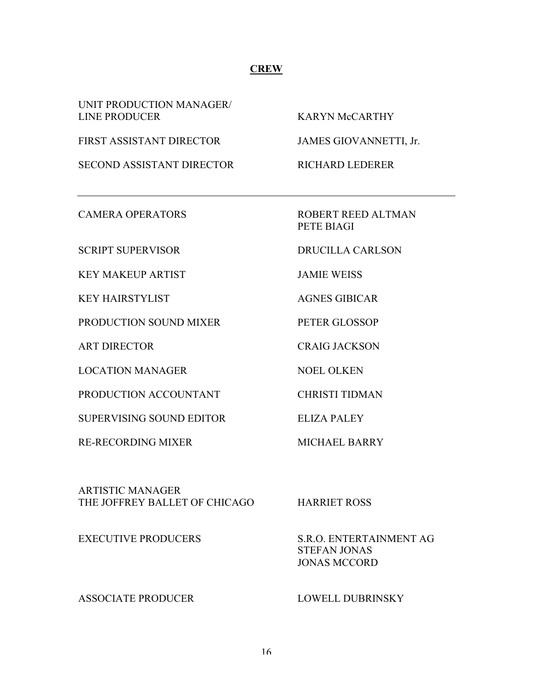# **CREW**

UNIT PRODUCTION MANAGER/ LINE PRODUCER KARYN McCARTHY

FIRST ASSISTANT DIRECTOR JAMES GIOVANNETTI, Jr.

SECOND ASSISTANT DIRECTOR RICHARD LEDERER

KEY MAKEUP ARTIST JAMIE WEISS

KEY HAIRSTYLIST AGNES GIBICAR

PRODUCTION SOUND MIXER PETER GLOSSOP

LOCATION MANAGER NOEL OLKEN

PRODUCTION ACCOUNTANT CHRISTI TIDMAN

SUPERVISING SOUND EDITOR ELIZA PALEY

RE-RECORDING MIXER MICHAEL BARRY

CAMERA OPERATORS ROBERT REED ALTMAN PETE BIAGI

SCRIPT SUPERVISOR DRUCILLA CARLSON

ART DIRECTOR CRAIG JACKSON

ARTISTIC MANAGER THE JOFFREY BALLET OF CHICAGO HARRIET ROSS

EXECUTIVE PRODUCERS S.R.O. ENTERTAINMENT AG STEFAN JONAS JONAS MCCORD

ASSOCIATE PRODUCER LOWELL DUBRINSKY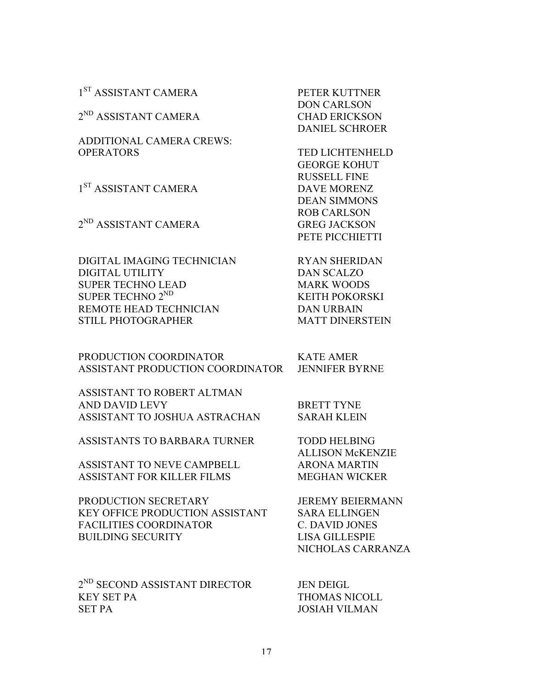1<sup>ST</sup> ASSISTANT CAMERA PETER KUTTNER

 $2^{ND}$  ASSISTANT CAMERA CHAD ERICKSON

ADDITIONAL CAMERA CREWS: OPERATORS TED LICHTENHELD

1<sup>ST</sup> ASSISTANT CAMERA DAVE MORENZ

2<sup>ND</sup> ASSISTANT CAMERA GREG JACKSON

DIGITAL IMAGING TECHNICIAN RYAN SHERIDAN DIGITAL UTILITY DAN SCALZO SUPER TECHNO LEAD MARK WOODS SUPER TECHNO 2<sup>ND</sup> KEITH POKORSKI REMOTE HEAD TECHNICIAN DAN URBAIN STILL PHOTOGRAPHER MATT DINERSTEIN

PRODUCTION COORDINATOR KATE AMER ASSISTANT PRODUCTION COORDINATOR JENNIFER BYRNE

ASSISTANT TO ROBERT ALTMAN AND DAVID LEVY BRETT TYNE ASSISTANT TO JOSHUA ASTRACHAN SARAH KLEIN

ASSISTANTS TO BARBARA TURNER TODD HELBING

ASSISTANT TO NEVE CAMPBELL ARONA MARTIN ASSISTANT FOR KILLER FILMS MEGHAN WICKER

PRODUCTION SECRETARY JEREMY BEIERMANN KEY OFFICE PRODUCTION ASSISTANT SARA ELLINGEN FACILITIES COORDINATOR C. DAVID JONES BUILDING SECURITY LISA GILLESPIE

 $2^{ND}$  SECOND ASSISTANT DIRECTOR JEN DEIGL KEY SET PA THOMAS NICOLL SET PA JOSIAH VILMAN

DON CARLSON DANIEL SCHROER

GEORGE KOHUT RUSSELL FINE DEAN SIMMONS ROB CARLSON PETE PICCHIETTI

ALLISON McKENZIE

NICHOLAS CARRANZA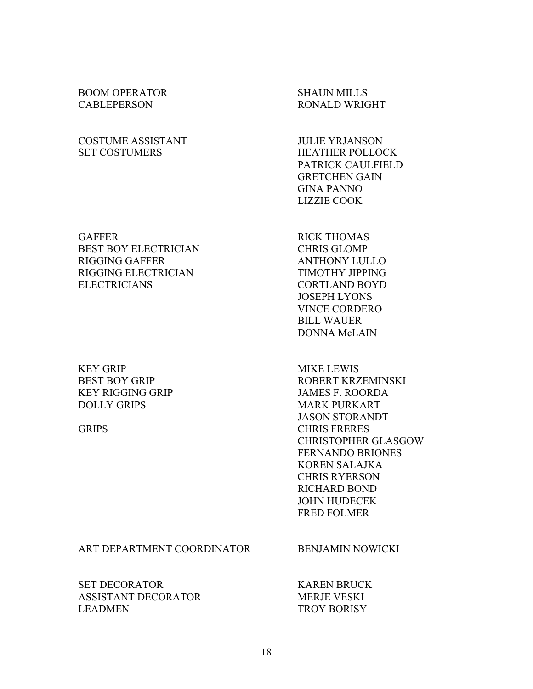# BOOM OPERATOR SHAUN MILLS CABLEPERSON RONALD WRIGHT

# COSTUME ASSISTANT JULIE YRJANSON SET COSTUMERS HEATHER POLLOCK

GAFFER RICK THOMAS BEST BOY ELECTRICIAN CHRIS GLOMP RIGGING GAFFER ANTHONY LULLO RIGGING ELECTRICIAN TIMOTHY JIPPING ELECTRICIANS CORTLAND BOYD

# KEY GRIP MIKE LEWIS KEY RIGGING GRIP JAMES F. ROORDA DOLLY GRIPS MARK PURKART

#### ART DEPARTMENT COORDINATOR BENJAMIN NOWICKI

SET DECORATOR KAREN BRUCK ASSISTANT DECORATOR MERJE VESKI LEADMEN TROY BORISY

PATRICK CAULFIELD GRETCHEN GAIN GINA PANNO LIZZIE COOK

JOSEPH LYONS VINCE CORDERO BILL WAUER DONNA McLAIN

BEST BOY GRIP ROBERT KRZEMINSKI JASON STORANDT GRIPS CHRIS FRERES CHRISTOPHER GLASGOW FERNANDO BRIONES KOREN SALAJKA CHRIS RYERSON RICHARD BOND JOHN HUDECEK FRED FOLMER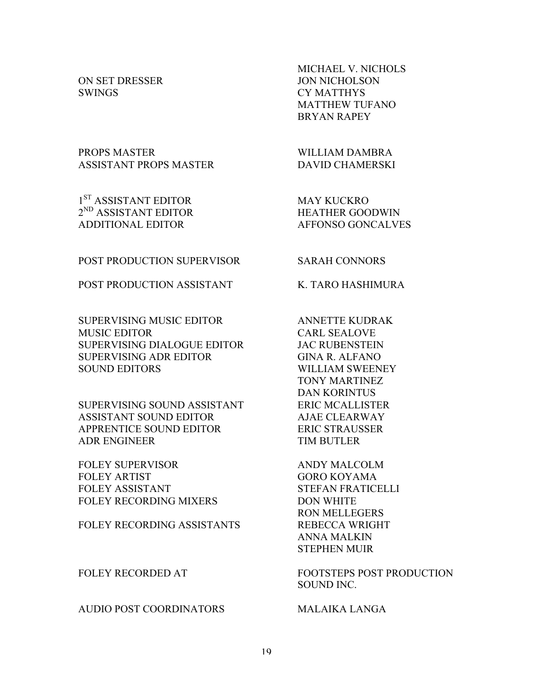SWINGS CY MATTHYS

PROPS MASTER WILLIAM DAMBRA ASSISTANT PROPS MASTER DAVID CHAMERSKI

1<sup>ST</sup> ASSISTANT EDITOR MAY KUCKRO  $2^{ND}$  ASSISTANT EDITOR HEATHER GOODWIN ADDITIONAL EDITOR AFFONSO GONCALVES

MICHAEL V. NICHOLS ON SET DRESSER JON NICHOLSON MATTHEW TUFANO BRYAN RAPEY

POST PRODUCTION SUPERVISOR SARAH CONNORS

POST PRODUCTION ASSISTANT K. TARO HASHIMURA

SUPERVISING MUSIC EDITOR ANNETTE KUDRAK MUSIC EDITOR CARL SEALOVE SUPERVISING DIALOGUE EDITOR JAC RUBENSTEIN SUPERVISING ADR EDITOR GINA R. ALFANO SOUND EDITORS WILLIAM SWEENEY

SUPERVISING SOUND ASSISTANT ERIC MCALLISTER ASSISTANT SOUND EDITOR AJAE CLEARWAY APPRENTICE SOUND EDITOR ERIC STRAUSSER ADR ENGINEER TIM BUTLER

FOLEY SUPERVISOR ANDY MALCOLM FOLEY ARTIST GORO KOYAMA FOLEY ASSISTANT STEFAN FRATICELLI FOLEY RECORDING MIXERS DON WHITE

FOLEY RECORDING ASSISTANTS REBECCA WRIGHT

AUDIO POST COORDINATORS MALAIKA LANGA

TONY MARTINEZ DAN KORINTUS

RON MELLEGERS ANNA MALKIN STEPHEN MUIR

FOLEY RECORDED AT FOOTSTEPS POST PRODUCTION SOUND INC.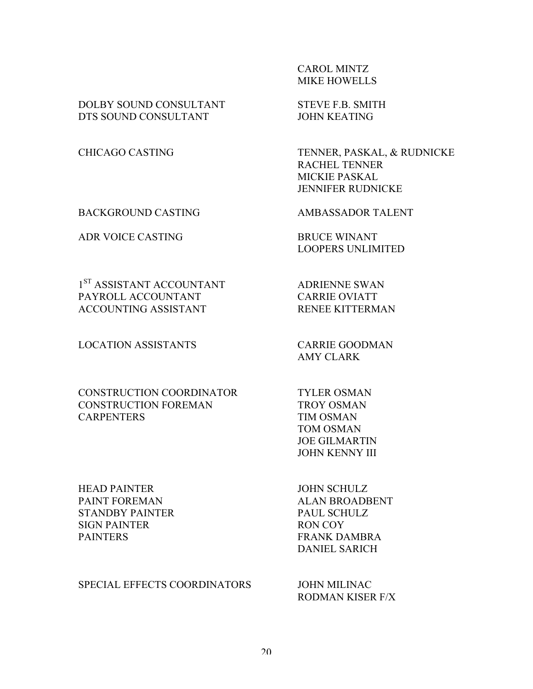# CAROL MINTZ MIKE HOWELLS

DOLBY SOUND CONSULTANT STEVE F.B. SMITH DTS SOUND CONSULTANT JOHN KEATING

BACKGROUND CASTING AMBASSADOR TALENT

ADR VOICE CASTING BRUCE WINANT

1<sup>ST</sup> ASSISTANT ACCOUNTANT ADRIENNE SWAN PAYROLL ACCOUNTANT CARRIE OVIATT ACCOUNTING ASSISTANT RENEE KITTERMAN

LOCATION ASSISTANTS CARRIE GOODMAN

# CONSTRUCTION COORDINATOR TYLER OSMAN CONSTRUCTION FOREMAN TROY OSMAN CARPENTERS TIM OSMAN

HEAD PAINTER JOHN SCHULZ PAINT FOREMAN ALAN BROADBENT STANDBY PAINTER PAUL SCHULZ SIGN PAINTER RON COY PAINTERS FRANK DAMBRA

SPECIAL EFFECTS COORDINATORS JOHN MILINAC

CHICAGO CASTING TENNER, PASKAL, & RUDNICKE RACHEL TENNER MICKIE PASKAL JENNIFER RUDNICKE

LOOPERS UNLIMITED

AMY CLARK

TOM OSMAN JOE GILMARTIN JOHN KENNY III

DANIEL SARICH

RODMAN KISER F/X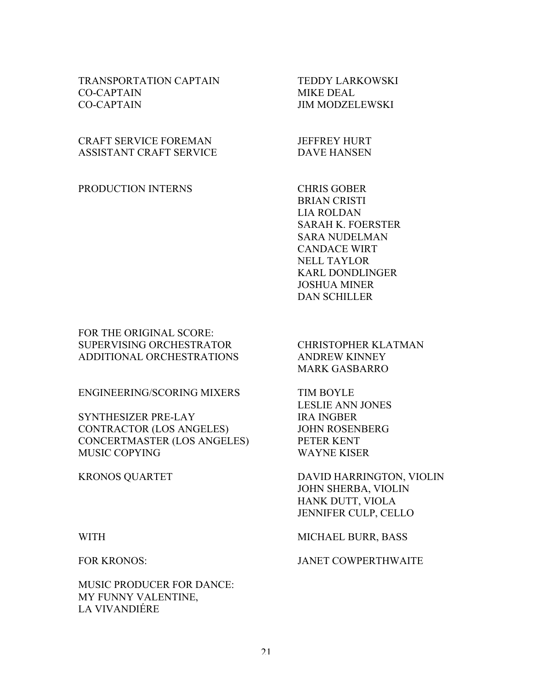# TRANSPORTATION CAPTAIN TEDDY LARKOWSKI CO-CAPTAIN MIKE DEAL CO-CAPTAIN JIM MODZELEWSKI

# CRAFT SERVICE FOREMAN JEFFREY HURT ASSISTANT CRAFT SERVICE DAVE HANSEN

PRODUCTION INTERNS CHRIS GOBER

BRIAN CRISTI LIA ROLDAN SARAH K. FOERSTER SARA NUDELMAN CANDACE WIRT NELL TAYLOR KARL DONDLINGER JOSHUA MINER DAN SCHILLER

FOR THE ORIGINAL SCORE: SUPERVISING ORCHESTRATOR CHRISTOPHER KLATMAN ADDITIONAL ORCHESTRATIONS ANDREW KINNEY

ENGINEERING/SCORING MIXERS TIM BOYLE

SYNTHESIZER PRE-LAY IRA INGBER CONTRACTOR (LOS ANGELES) JOHN ROSENBERG CONCERTMASTER (LOS ANGELES) PETER KENT MUSIC COPYING WAYNE KISER

MARK GASBARRO

LESLIE ANN JONES

KRONOS QUARTET DAVID HARRINGTON, VIOLIN JOHN SHERBA, VIOLIN HANK DUTT, VIOLA JENNIFER CULP, CELLO

MUSIC PRODUCER FOR DANCE: MY FUNNY VALENTINE, LA VIVANDIÉRE

WITH MICHAEL BURR, BASS

FOR KRONOS: JANET COWPERTHWAITE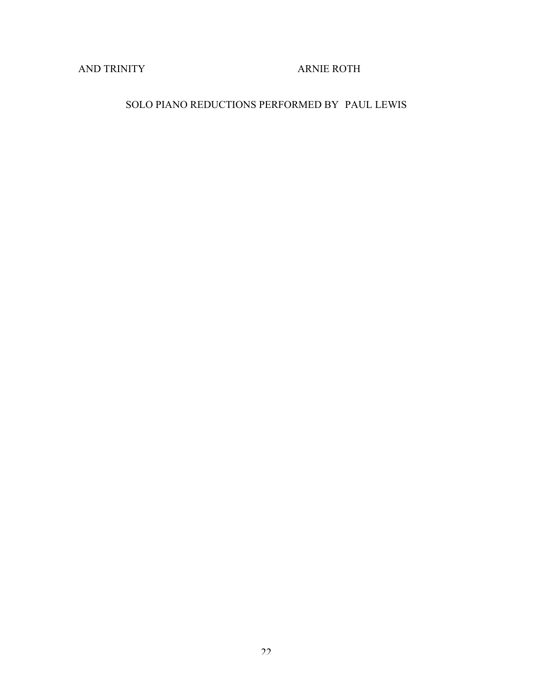AND TRINITY ARNIE ROTH

# SOLO PIANO REDUCTIONS PERFORMED BY PAUL LEWIS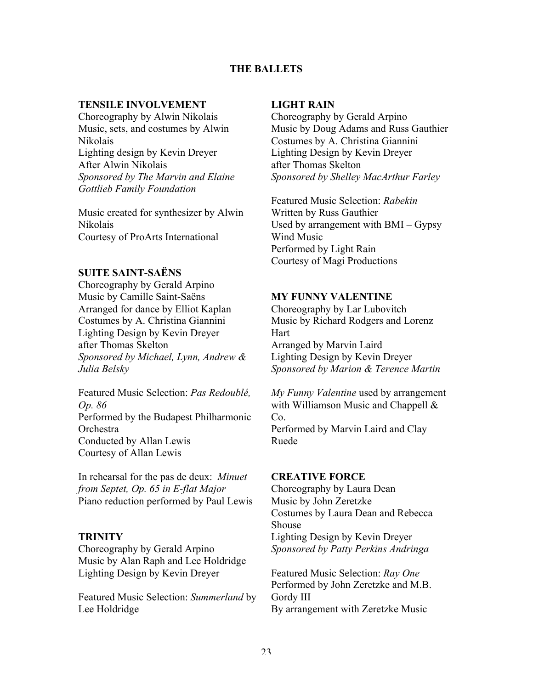# **THE BALLETS**

#### **TENSILE INVOLVEMENT**

Choreography by Alwin Nikolais Music, sets, and costumes by Alwin Nikolais Lighting design by Kevin Dreyer After Alwin Nikolais *Sponsored by The Marvin and Elaine Gottlieb Family Foundation*

Music created for synthesizer by Alwin Nikolais Courtesy of ProArts International

# **SUITE SAINT-SAËNS**

Choreography by Gerald Arpino Music by Camille Saint-Saëns Arranged for dance by Elliot Kaplan Costumes by A. Christina Giannini Lighting Design by Kevin Dreyer after Thomas Skelton *Sponsored by Michael, Lynn, Andrew & Julia Belsky*

Featured Music Selection: *Pas Redoublé, Op. 86* Performed by the Budapest Philharmonic **Orchestra** Conducted by Allan Lewis Courtesy of Allan Lewis

In rehearsal for the pas de deux: *Minuet from Septet, Op. 65 in E-flat Major* Piano reduction performed by Paul Lewis

# **TRINITY**

Choreography by Gerald Arpino Music by Alan Raph and Lee Holdridge Lighting Design by Kevin Dreyer

Featured Music Selection: *Summerland* by Lee Holdridge

#### **LIGHT RAIN**

Choreography by Gerald Arpino Music by Doug Adams and Russ Gauthier Costumes by A. Christina Giannini Lighting Design by Kevin Dreyer after Thomas Skelton *Sponsored by Shelley MacArthur Farley*

Featured Music Selection: *Rabekin* Written by Russ Gauthier Used by arrangement with BMI – Gypsy Wind Music Performed by Light Rain Courtesy of Magi Productions

# **MY FUNNY VALENTINE**

Choreography by Lar Lubovitch Music by Richard Rodgers and Lorenz Hart Arranged by Marvin Laird Lighting Design by Kevin Dreyer *Sponsored by Marion & Terence Martin*

*My Funny Valentine* used by arrangement with Williamson Music and Chappell & Co. Performed by Marvin Laird and Clay

Ruede

#### **CREATIVE FORCE**

Choreography by Laura Dean Music by John Zeretzke Costumes by Laura Dean and Rebecca Shouse Lighting Design by Kevin Dreyer *Sponsored by Patty Perkins Andringa*

Featured Music Selection: *Ray One* Performed by John Zeretzke and M.B. Gordy III By arrangement with Zeretzke Music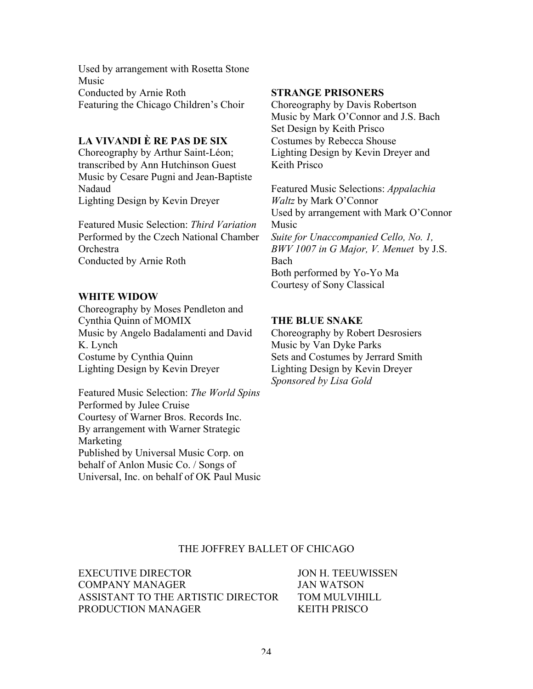Used by arrangement with Rosetta Stone Music Conducted by Arnie Roth Featuring the Chicago Children's Choir

# **LA VIVANDI È RE PAS DE SIX**

Choreography by Arthur Saint-Léon; transcribed by Ann Hutchinson Guest Music by Cesare Pugni and Jean-Baptiste Nadaud Lighting Design by Kevin Dreyer

Featured Music Selection: *Third Variation* Performed by the Czech National Chamber **Orchestra** Conducted by Arnie Roth

# **WHITE WIDOW**

Choreography by Moses Pendleton and Cynthia Quinn of MOMIX Music by Angelo Badalamenti and David K. Lynch Costume by Cynthia Quinn Lighting Design by Kevin Dreyer

Featured Music Selection: *The World Spins* Performed by Julee Cruise Courtesy of Warner Bros. Records Inc. By arrangement with Warner Strategic **Marketing** Published by Universal Music Corp. on behalf of Anlon Music Co. / Songs of Universal, Inc. on behalf of OK Paul Music

# **STRANGE PRISONERS**

Choreography by Davis Robertson Music by Mark O'Connor and J.S. Bach Set Design by Keith Prisco Costumes by Rebecca Shouse Lighting Design by Kevin Dreyer and Keith Prisco

Featured Music Selections: *Appalachia Waltz* by Mark O'Connor Used by arrangement with Mark O'Connor Music *Suite for Unaccompanied Cello, No. 1, BWV 1007 in G Major, V. Menuet* by J.S. Bach Both performed by Yo-Yo Ma Courtesy of Sony Classical

# **THE BLUE SNAKE**

Choreography by Robert Desrosiers Music by Van Dyke Parks Sets and Costumes by Jerrard Smith Lighting Design by Kevin Dreyer *Sponsored by Lisa Gold*

#### THE JOFFREY BALLET OF CHICAGO

EXECUTIVE DIRECTOR JON H. TEEUWISSEN COMPANY MANAGER JAN WATSON ASSISTANT TO THE ARTISTIC DIRECTOR TOM MULVIHILL PRODUCTION MANAGER
BRODUCTION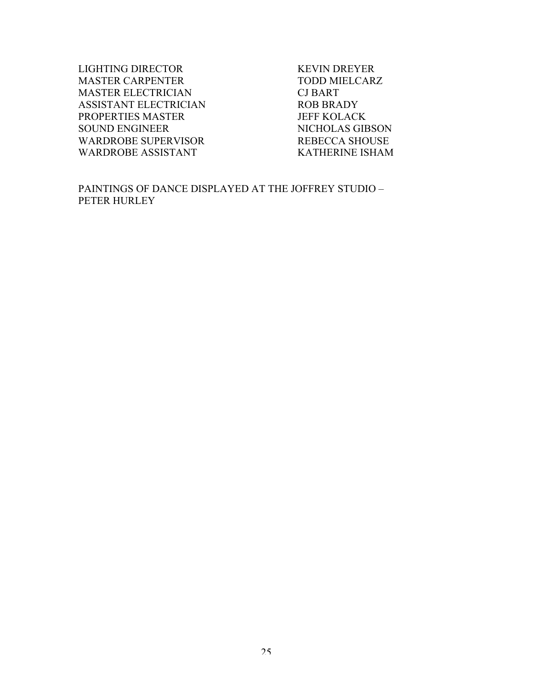LIGHTING DIRECTOR KEVIN DREYER MASTER CARPENTER TODD MIELCARZ MASTER ELECTRICIAN CJ BART ASSISTANT ELECTRICIAN ROB BRADY PROPERTIES MASTER JEFF KOLACK SOUND ENGINEER NICHOLAS GIBSON WARDROBE SUPERVISOR REBECCA SHOUSE WARDROBE ASSISTANT KATHERINE ISHAM

PAINTINGS OF DANCE DISPLAYED AT THE JOFFREY STUDIO – PETER HURLEY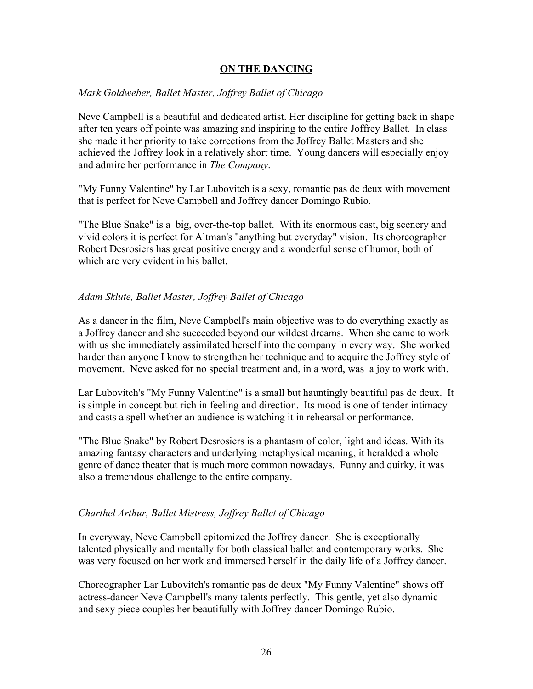# **ON THE DANCING**

# *Mark Goldweber, Ballet Master, Joffrey Ballet of Chicago*

Neve Campbell is a beautiful and dedicated artist. Her discipline for getting back in shape after ten years off pointe was amazing and inspiring to the entire Joffrey Ballet. In class she made it her priority to take corrections from the Joffrey Ballet Masters and she achieved the Joffrey look in a relatively short time. Young dancers will especially enjoy and admire her performance in *The Company*.

"My Funny Valentine" by Lar Lubovitch is a sexy, romantic pas de deux with movement that is perfect for Neve Campbell and Joffrey dancer Domingo Rubio.

"The Blue Snake" is a big, over-the-top ballet. With its enormous cast, big scenery and vivid colors it is perfect for Altman's "anything but everyday" vision. Its choreographer Robert Desrosiers has great positive energy and a wonderful sense of humor, both of which are very evident in his ballet.

# *Adam Sklute, Ballet Master, Joffrey Ballet of Chicago*

As a dancer in the film, Neve Campbell's main objective was to do everything exactly as a Joffrey dancer and she succeeded beyond our wildest dreams. When she came to work with us she immediately assimilated herself into the company in every way. She worked harder than anyone I know to strengthen her technique and to acquire the Joffrey style of movement. Neve asked for no special treatment and, in a word, was a joy to work with.

Lar Lubovitch's "My Funny Valentine" is a small but hauntingly beautiful pas de deux. It is simple in concept but rich in feeling and direction. Its mood is one of tender intimacy and casts a spell whether an audience is watching it in rehearsal or performance.

"The Blue Snake" by Robert Desrosiers is a phantasm of color, light and ideas. With its amazing fantasy characters and underlying metaphysical meaning, it heralded a whole genre of dance theater that is much more common nowadays. Funny and quirky, it was also a tremendous challenge to the entire company.

# *Charthel Arthur, Ballet Mistress, Joffrey Ballet of Chicago*

In everyway, Neve Campbell epitomized the Joffrey dancer. She is exceptionally talented physically and mentally for both classical ballet and contemporary works. She was very focused on her work and immersed herself in the daily life of a Joffrey dancer.

Choreographer Lar Lubovitch's romantic pas de deux "My Funny Valentine" shows off actress-dancer Neve Campbell's many talents perfectly. This gentle, yet also dynamic and sexy piece couples her beautifully with Joffrey dancer Domingo Rubio.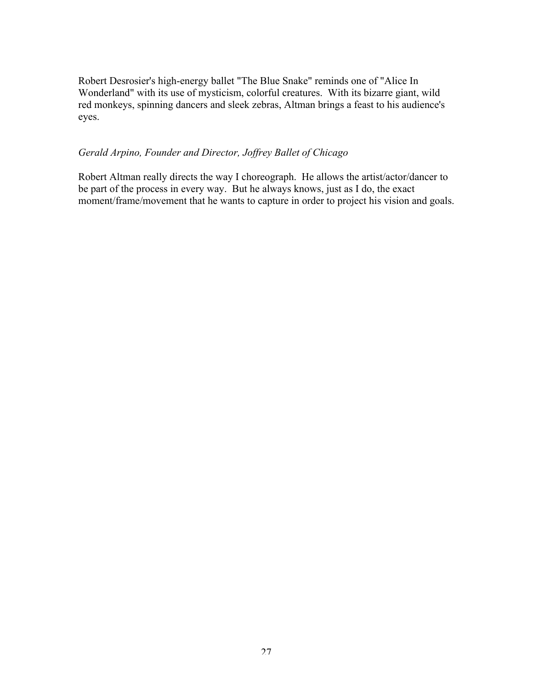Robert Desrosier's high-energy ballet "The Blue Snake" reminds one of "Alice In Wonderland" with its use of mysticism, colorful creatures. With its bizarre giant, wild red monkeys, spinning dancers and sleek zebras, Altman brings a feast to his audience's eyes.

# *Gerald Arpino, Founder and Director, Joffrey Ballet of Chicago*

Robert Altman really directs the way I choreograph. He allows the artist/actor/dancer to be part of the process in every way. But he always knows, just as I do, the exact moment/frame/movement that he wants to capture in order to project his vision and goals.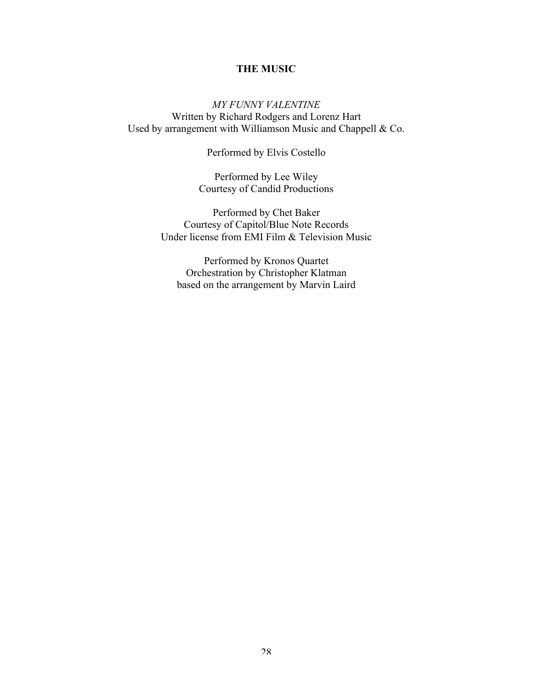# **THE MUSIC**

*MY FUNNY VALENTINE* Written by Richard Rodgers and Lorenz Hart Used by arrangement with Williamson Music and Chappell & Co.

Performed by Elvis Costello

Performed by Lee Wiley Courtesy of Candid Productions

Performed by Chet Baker Courtesy of Capitol/Blue Note Records Under license from EMI Film & Television Music

Performed by Kronos Quartet Orchestration by Christopher Klatman based on the arrangement by Marvin Laird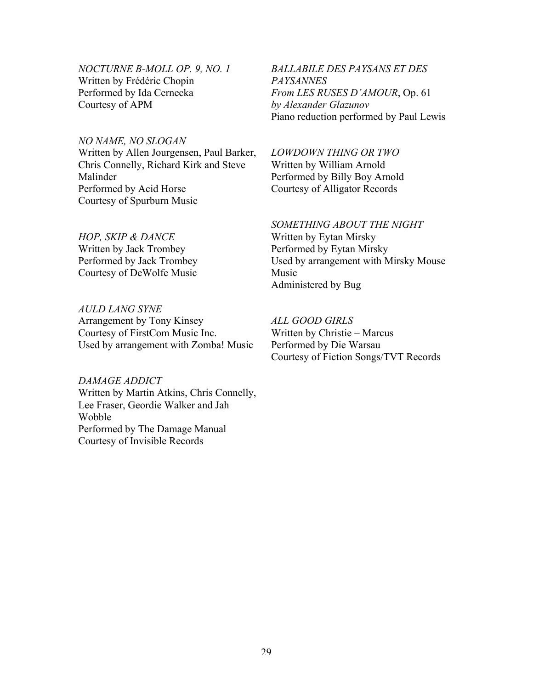*NOCTURNE B-MOLL OP. 9, NO. 1* Written by Frédéric Chopin Performed by Ida Cernecka Courtesy of APM

# *NO NAME, NO SLOGAN*

Written by Allen Jourgensen, Paul Barker, Chris Connelly, Richard Kirk and Steve Malinder Performed by Acid Horse Courtesy of Spurburn Music

# *HOP, SKIP & DANCE*

Written by Jack Trombey Performed by Jack Trombey Courtesy of DeWolfe Music

# *AULD LANG SYNE*

Arrangement by Tony Kinsey Courtesy of FirstCom Music Inc. Used by arrangement with Zomba! Music

# *DAMAGE ADDICT*

Written by Martin Atkins, Chris Connelly, Lee Fraser, Geordie Walker and Jah Wobble Performed by The Damage Manual Courtesy of Invisible Records

*BALLABILE DES PAYSANS ET DES PAYSANNES From LES RUSES D'AMOUR*, Op. 61 *by Alexander Glazunov* Piano reduction performed by Paul Lewis

#### *LOWDOWN THING OR TWO*

Written by William Arnold Performed by Billy Boy Arnold Courtesy of Alligator Records

#### *SOMETHING ABOUT THE NIGHT*

Written by Eytan Mirsky Performed by Eytan Mirsky Used by arrangement with Mirsky Mouse Music Administered by Bug

# *ALL GOOD GIRLS*

Written by Christie – Marcus Performed by Die Warsau Courtesy of Fiction Songs/TVT Records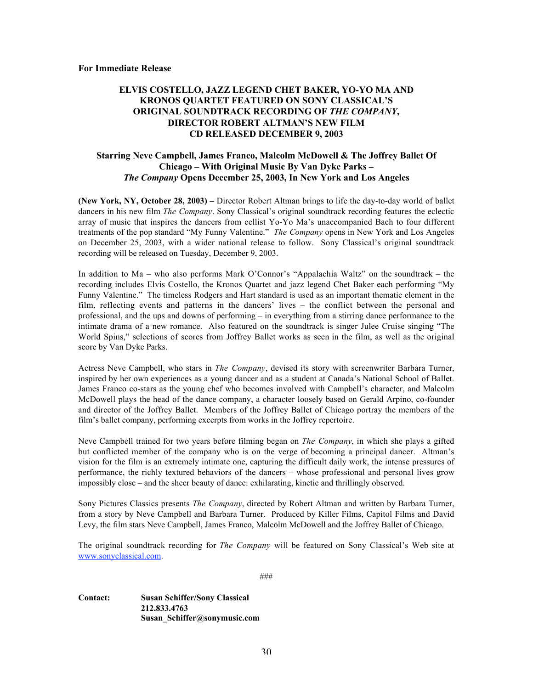# **ELVIS COSTELLO, JAZZ LEGEND CHET BAKER, YO-YO MA AND KRONOS QUARTET FEATURED ON SONY CLASSICAL'S ORIGINAL SOUNDTRACK RECORDING OF** *THE COMPANY***, DIRECTOR ROBERT ALTMAN'S NEW FILM CD RELEASED DECEMBER 9, 2003**

#### **Starring Neve Campbell, James Franco, Malcolm McDowell & The Joffrey Ballet Of Chicago – With Original Music By Van Dyke Parks –** *The Company* **Opens December 25, 2003, In New York and Los Angeles**

**(New York, NY, October 28, 2003) –** Director Robert Altman brings to life the day-to-day world of ballet dancers in his new film *The Company*. Sony Classical's original soundtrack recording features the eclectic array of music that inspires the dancers from cellist Yo-Yo Ma's unaccompanied Bach to four different treatments of the pop standard "My Funny Valentine." *The Company* opens in New York and Los Angeles on December 25, 2003, with a wider national release to follow. Sony Classical's original soundtrack recording will be released on Tuesday, December 9, 2003.

In addition to Ma – who also performs Mark O'Connor's "Appalachia Waltz" on the soundtrack – the recording includes Elvis Costello, the Kronos Quartet and jazz legend Chet Baker each performing "My Funny Valentine." The timeless Rodgers and Hart standard is used as an important thematic element in the film, reflecting events and patterns in the dancers' lives – the conflict between the personal and professional, and the ups and downs of performing – in everything from a stirring dance performance to the intimate drama of a new romance. Also featured on the soundtrack is singer Julee Cruise singing "The World Spins," selections of scores from Joffrey Ballet works as seen in the film, as well as the original score by Van Dyke Parks.

Actress Neve Campbell, who stars in *The Company*, devised its story with screenwriter Barbara Turner, inspired by her own experiences as a young dancer and as a student at Canada's National School of Ballet. James Franco co-stars as the young chef who becomes involved with Campbell's character, and Malcolm McDowell plays the head of the dance company, a character loosely based on Gerald Arpino, co-founder and director of the Joffrey Ballet. Members of the Joffrey Ballet of Chicago portray the members of the film's ballet company, performing excerpts from works in the Joffrey repertoire.

Neve Campbell trained for two years before filming began on *The Company*, in which she plays a gifted but conflicted member of the company who is on the verge of becoming a principal dancer. Altman's vision for the film is an extremely intimate one, capturing the difficult daily work, the intense pressures of performance, the richly textured behaviors of the dancers – whose professional and personal lives grow impossibly close – and the sheer beauty of dance: exhilarating, kinetic and thrillingly observed.

Sony Pictures Classics presents *The Company*, directed by Robert Altman and written by Barbara Turner, from a story by Neve Campbell and Barbara Turner. Produced by Killer Films, Capitol Films and David Levy, the film stars Neve Campbell, James Franco, Malcolm McDowell and the Joffrey Ballet of Chicago.

The original soundtrack recording for *The Company* will be featured on Sony Classical's Web site at www.sonyclassical.com.

###

#### **Contact: Susan Schiffer/Sony Classical 212.833.4763 Susan\_Schiffer@sonymusic.com**